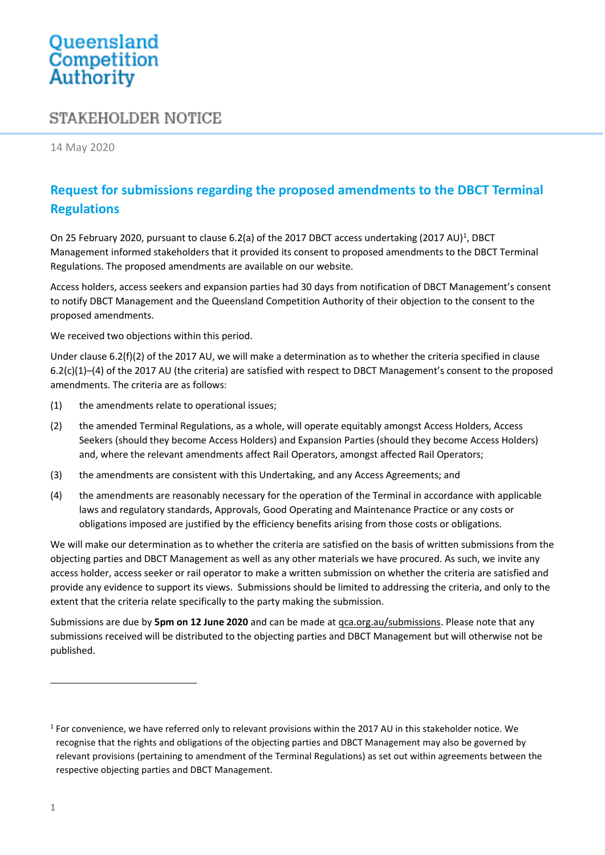## Queensland<br>Competition Authority

## STAKEHOLDER NOTICE

14 May 2020

## **Request for submissions regarding the proposed amendments to the DBCT Terminal Regulations**

On 25 February 2020, pursuant to clause 6.2(a) of the 2017 DBCT access undertaking (2017 AU)<sup>1</sup>, DBCT Management informed stakeholders that it provided its consent to proposed amendments to the DBCT Terminal Regulations. The proposed amendments are available on our website.

Access holders, access seekers and expansion parties had 30 days from notification of DBCT Management's consent to notify DBCT Management and the Queensland Competition Authority of their objection to the consent to the proposed amendments.

We received two objections within this period.

Under clause 6.2(f)(2) of the 2017 AU, we will make a determination as to whether the criteria specified in clause 6.2(c)(1)–(4) of the 2017 AU (the criteria) are satisfied with respect to DBCT Management's consent to the proposed amendments. The criteria are as follows:

- (1) the amendments relate to operational issues;
- (2) the amended Terminal Regulations, as a whole, will operate equitably amongst Access Holders, Access Seekers (should they become Access Holders) and Expansion Parties (should they become Access Holders) and, where the relevant amendments affect Rail Operators, amongst affected Rail Operators;
- (3) the amendments are consistent with this Undertaking, and any Access Agreements; and
- (4) the amendments are reasonably necessary for the operation of the Terminal in accordance with applicable laws and regulatory standards, Approvals, Good Operating and Maintenance Practice or any costs or obligations imposed are justified by the efficiency benefits arising from those costs or obligations.

We will make our determination as to whether the criteria are satisfied on the basis of written submissions from the objecting parties and DBCT Management as well as any other materials we have procured. As such, we invite any access holder, access seeker or rail operator to make a written submission on whether the criteria are satisfied and provide any evidence to support its views. Submissions should be limited to addressing the criteria, and only to the extent that the criteria relate specifically to the party making the submission.

Submissions are due by **5pm on 12 June 2020** and can be made at [qca.org.au/submissions.](file:///C:/NRPortbl/Documents/RH/qca.org.au/submissions) Please note that any submissions received will be distributed to the objecting parties and DBCT Management but will otherwise not be published.

<sup>1</sup> For convenience, we have referred only to relevant provisions within the 2017 AU in this stakeholder notice. We recognise that the rights and obligations of the objecting parties and DBCT Management may also be governed by relevant provisions (pertaining to amendment of the Terminal Regulations) as set out within agreements between the respective objecting parties and DBCT Management.